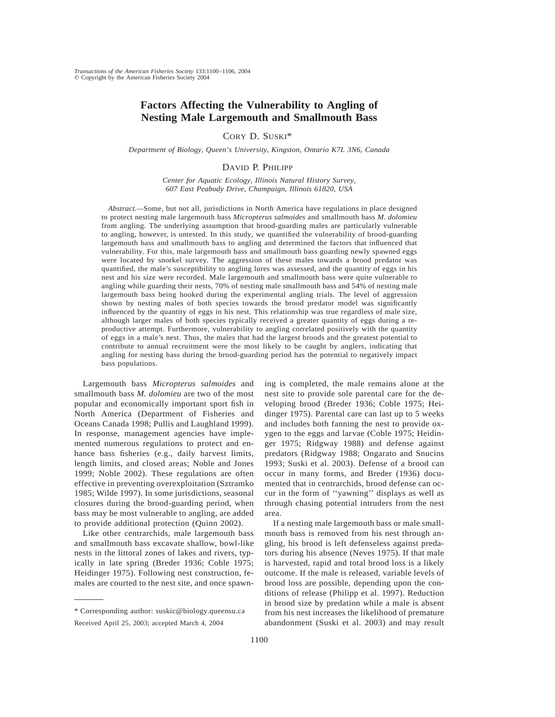# **Factors Affecting the Vulnerability to Angling of Nesting Male Largemouth and Smallmouth Bass**

CORY D. SUSKI\*

*Department of Biology, Queen's University, Kingston, Ontario K7L 3N6, Canada*

# DAVID P. PHILIPP

*Center for Aquatic Ecology, Illinois Natural History Survey, 607 East Peabody Drive, Champaign, Illinois 61820, USA*

*Abstract.—*Some, but not all, jurisdictions in North America have regulations in place designed to protect nesting male largemouth bass *Micropterus salmoides* and smallmouth bass *M. dolomieu* from angling. The underlying assumption that brood-guarding males are particularly vulnerable to angling, however, is untested. In this study, we quantified the vulnerability of brood-guarding largemouth bass and smallmouth bass to angling and determined the factors that influenced that vulnerability. For this, male largemouth bass and smallmouth bass guarding newly spawned eggs were located by snorkel survey. The aggression of these males towards a brood predator was quantified, the male's susceptibility to angling lures was assessed, and the quantity of eggs in his nest and his size were recorded. Male largemouth and smallmouth bass were quite vulnerable to angling while guarding their nests, 70% of nesting male smallmouth bass and 54% of nesting male largemouth bass being hooked during the experimental angling trials. The level of aggression shown by nesting males of both species towards the brood predator model was significantly influenced by the quantity of eggs in his nest. This relationship was true regardless of male size, although larger males of both species typically received a greater quantity of eggs during a reproductive attempt. Furthermore, vulnerability to angling correlated positively with the quantity of eggs in a male's nest. Thus, the males that had the largest broods and the greatest potential to contribute to annual recruitment were the most likely to be caught by anglers, indicating that angling for nesting bass during the brood-guarding period has the potential to negatively impact bass populations.

Largemouth bass *Micropterus salmoides* and smallmouth bass *M. dolomieu* are two of the most popular and economically important sport fish in North America (Department of Fisheries and Oceans Canada 1998; Pullis and Laughland 1999). In response, management agencies have implemented numerous regulations to protect and enhance bass fisheries (e.g., daily harvest limits, length limits, and closed areas; Noble and Jones 1999; Noble 2002). These regulations are often effective in preventing overexploitation (Sztramko 1985; Wilde 1997). In some jurisdictions, seasonal closures during the brood-guarding period, when bass may be most vulnerable to angling, are added to provide additional protection (Quinn 2002).

Like other centrarchids, male largemouth bass and smallmouth bass excavate shallow, bowl-like nests in the littoral zones of lakes and rivers, typically in late spring (Breder 1936; Coble 1975; Heidinger 1975). Following nest construction, females are courted to the nest site, and once spawning is completed, the male remains alone at the nest site to provide sole parental care for the developing brood (Breder 1936; Coble 1975; Heidinger 1975). Parental care can last up to 5 weeks and includes both fanning the nest to provide oxygen to the eggs and larvae (Coble 1975; Heidinger 1975; Ridgway 1988) and defense against predators (Ridgway 1988; Ongarato and Snucins 1993; Suski et al. 2003). Defense of a brood can occur in many forms, and Breder (1936) documented that in centrarchids, brood defense can occur in the form of ''yawning'' displays as well as through chasing potential intruders from the nest area.

If a nesting male largemouth bass or male smallmouth bass is removed from his nest through angling, his brood is left defenseless against predators during his absence (Neves 1975). If that male is harvested, rapid and total brood loss is a likely outcome. If the male is released, variable levels of brood loss are possible, depending upon the conditions of release (Philipp et al. 1997). Reduction in brood size by predation while a male is absent from his nest increases the likelihood of premature abandonment (Suski et al. 2003) and may result

<sup>\*</sup> Corresponding author: suskic@biology.queensu.ca Received April 25, 2003; accepted March 4, 2004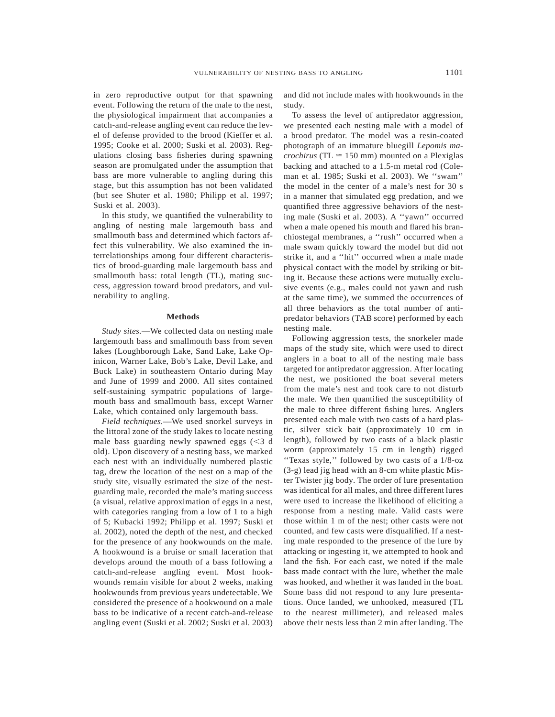in zero reproductive output for that spawning event. Following the return of the male to the nest, the physiological impairment that accompanies a catch-and-release angling event can reduce the level of defense provided to the brood (Kieffer et al. 1995; Cooke et al. 2000; Suski et al. 2003). Regulations closing bass fisheries during spawning season are promulgated under the assumption that bass are more vulnerable to angling during this stage, but this assumption has not been validated (but see Shuter et al. 1980; Philipp et al. 1997; Suski et al. 2003).

In this study, we quantified the vulnerability to angling of nesting male largemouth bass and smallmouth bass and determined which factors affect this vulnerability. We also examined the interrelationships among four different characteristics of brood-guarding male largemouth bass and smallmouth bass: total length (TL), mating success, aggression toward brood predators, and vulnerability to angling.

## **Methods**

*Study sites*.—We collected data on nesting male largemouth bass and smallmouth bass from seven lakes (Loughborough Lake, Sand Lake, Lake Opinicon, Warner Lake, Bob's Lake, Devil Lake, and Buck Lake) in southeastern Ontario during May and June of 1999 and 2000. All sites contained self-sustaining sympatric populations of largemouth bass and smallmouth bass, except Warner Lake, which contained only largemouth bass.

*Field techniques*.—We used snorkel surveys in the littoral zone of the study lakes to locate nesting male bass guarding newly spawned eggs  $\leq$  3 d old). Upon discovery of a nesting bass, we marked each nest with an individually numbered plastic tag, drew the location of the nest on a map of the study site, visually estimated the size of the nestguarding male, recorded the male's mating success (a visual, relative approximation of eggs in a nest, with categories ranging from a low of 1 to a high of 5; Kubacki 1992; Philipp et al. 1997; Suski et al. 2002), noted the depth of the nest, and checked for the presence of any hookwounds on the male. A hookwound is a bruise or small laceration that develops around the mouth of a bass following a catch-and-release angling event. Most hookwounds remain visible for about 2 weeks, making hookwounds from previous years undetectable. We considered the presence of a hookwound on a male bass to be indicative of a recent catch-and-release angling event (Suski et al. 2002; Suski et al. 2003) and did not include males with hookwounds in the study.

To assess the level of antipredator aggression, we presented each nesting male with a model of a brood predator. The model was a resin-coated photograph of an immature bluegill *Lepomis macrochirus* (TL  $\approx$  150 mm) mounted on a Plexiglas backing and attached to a 1.5-m metal rod (Coleman et al. 1985; Suski et al. 2003). We ''swam'' the model in the center of a male's nest for 30 s in a manner that simulated egg predation, and we quantified three aggressive behaviors of the nesting male (Suski et al. 2003). A ''yawn'' occurred when a male opened his mouth and flared his branchiostegal membranes, a ''rush'' occurred when a male swam quickly toward the model but did not strike it, and a ''hit'' occurred when a male made physical contact with the model by striking or biting it. Because these actions were mutually exclusive events (e.g., males could not yawn and rush at the same time), we summed the occurrences of all three behaviors as the total number of antipredator behaviors (TAB score) performed by each nesting male.

Following aggression tests, the snorkeler made maps of the study site, which were used to direct anglers in a boat to all of the nesting male bass targeted for antipredator aggression. After locating the nest, we positioned the boat several meters from the male's nest and took care to not disturb the male. We then quantified the susceptibility of the male to three different fishing lures. Anglers presented each male with two casts of a hard plastic, silver stick bait (approximately 10 cm in length), followed by two casts of a black plastic worm (approximately 15 cm in length) rigged ''Texas style,'' followed by two casts of a 1/8-oz (3-g) lead jig head with an 8-cm white plastic Mister Twister jig body. The order of lure presentation was identical for all males, and three different lures were used to increase the likelihood of eliciting a response from a nesting male. Valid casts were those within 1 m of the nest; other casts were not counted, and few casts were disqualified. If a nesting male responded to the presence of the lure by attacking or ingesting it, we attempted to hook and land the fish. For each cast, we noted if the male bass made contact with the lure, whether the male was hooked, and whether it was landed in the boat. Some bass did not respond to any lure presentations. Once landed, we unhooked, measured (TL to the nearest millimeter), and released males above their nests less than 2 min after landing. The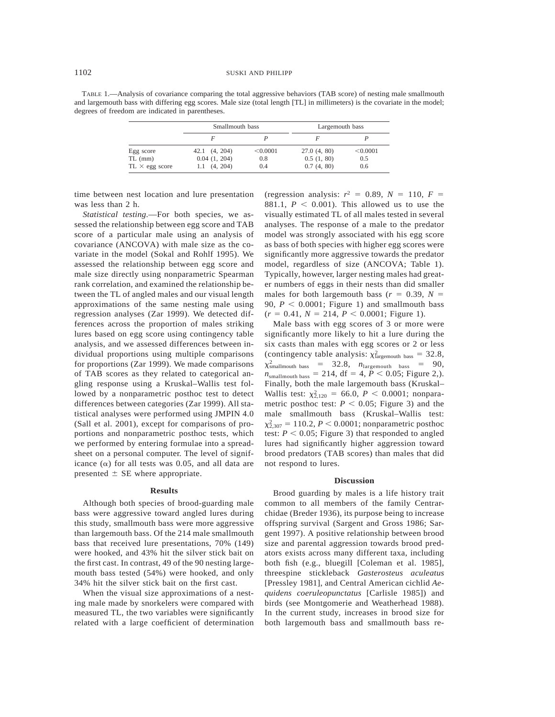TABLE 1.—Analysis of covariance comparing the total aggressive behaviors (TAB score) of nesting male smallmouth and largemouth bass with differing egg scores. Male size (total length [TL] in millimeters) is the covariate in the model; degrees of freedom are indicated in parentheses.

|                                    | Smallmouth bass                      |            | Largemouth bass          |            |
|------------------------------------|--------------------------------------|------------|--------------------------|------------|
|                                    |                                      |            |                          |            |
| Egg score                          | 42.1 (4, 204)                        | < 0.0001   | 27.0(4, 80)              | < 0.0001   |
| $TL$ (mm)<br>$TL \times egg score$ | 0.04(1, 204)<br>$1.1 \quad (4, 204)$ | 0.8<br>0.4 | 0.5(1, 80)<br>0.7(4, 80) | 0.5<br>0.6 |

time between nest location and lure presentation was less than 2 h.

*Statistical testing*.—For both species, we assessed the relationship between egg score and TAB score of a particular male using an analysis of covariance (ANCOVA) with male size as the covariate in the model (Sokal and Rohlf 1995). We assessed the relationship between egg score and male size directly using nonparametric Spearman rank correlation, and examined the relationship between the TL of angled males and our visual length approximations of the same nesting male using regression analyses (Zar 1999). We detected differences across the proportion of males striking lures based on egg score using contingency table analysis, and we assessed differences between individual proportions using multiple comparisons for proportions (Zar 1999). We made comparisons of TAB scores as they related to categorical angling response using a Kruskal–Wallis test followed by a nonparametric posthoc test to detect differences between categories (Zar 1999). All statistical analyses were performed using JMPIN 4.0 (Sall et al. 2001), except for comparisons of proportions and nonparametric posthoc tests, which we performed by entering formulae into a spreadsheet on a personal computer. The level of significance  $(\alpha)$  for all tests was 0.05, and all data are presented  $\pm$  SE where appropriate.

#### **Results**

Although both species of brood-guarding male bass were aggressive toward angled lures during this study, smallmouth bass were more aggressive than largemouth bass. Of the 214 male smallmouth bass that received lure presentations, 70% (149) were hooked, and 43% hit the silver stick bait on the first cast. In contrast, 49 of the 90 nesting largemouth bass tested (54%) were hooked, and only 34% hit the silver stick bait on the first cast.

When the visual size approximations of a nesting male made by snorkelers were compared with measured TL, the two variables were significantly related with a large coefficient of determination

(regression analysis:  $r^2 = 0.89$ ,  $N = 110$ ,  $F =$ 881.1,  $P < 0.001$ ). This allowed us to use the visually estimated TL of all males tested in several analyses. The response of a male to the predator model was strongly associated with his egg score as bass of both species with higher egg scores were significantly more aggressive towards the predator model, regardless of size (ANCOVA; Table 1). Typically, however, larger nesting males had greater numbers of eggs in their nests than did smaller males for both largemouth bass ( $r = 0.39$ ,  $N =$ 90,  $P < 0.0001$ ; Figure 1) and smallmouth bass  $(r = 0.41, N = 214, P < 0.0001$ ; Figure 1).

Male bass with egg scores of 3 or more were significantly more likely to hit a lure during the six casts than males with egg scores or 2 or less (contingency table analysis:  $\chi^2$  algemouth bass = 32.8,  $\chi^2_{\text{smallmouth bass}}$  = 32.8,  $n_{\text{largemouth bass}}$  = 90,  $n_{\text{smallmouth bass}} = 214$ , df = 4,  $P < 0.05$ ; Figure 2,). Finally, both the male largemouth bass (Kruskal– Wallis test:  $\chi_{2,120}^2$  = 66.0, *P* < 0.0001; nonparametric posthoc test:  $P < 0.05$ ; Figure 3) and the male smallmouth bass (Kruskal–Wallis test:  $\chi_{2.307}^2$  = 110.2, *P* < 0.0001; nonparametric posthoc test:  $P < 0.05$ ; Figure 3) that responded to angled lures had significantly higher aggression toward brood predators (TAB scores) than males that did not respond to lures.

#### **Discussion**

Brood guarding by males is a life history trait common to all members of the family Centrarchidae (Breder 1936), its purpose being to increase offspring survival (Sargent and Gross 1986; Sargent 1997). A positive relationship between brood size and parental aggression towards brood predators exists across many different taxa, including both fish (e.g., bluegill [Coleman et al. 1985], threespine stickleback *Gasterosteus aculeatus* [Pressley 1981], and Central American cichlid *Aequidens coeruleopunctatus* [Carlisle 1985]) and birds (see Montgomerie and Weatherhead 1988). In the current study, increases in brood size for both largemouth bass and smallmouth bass re-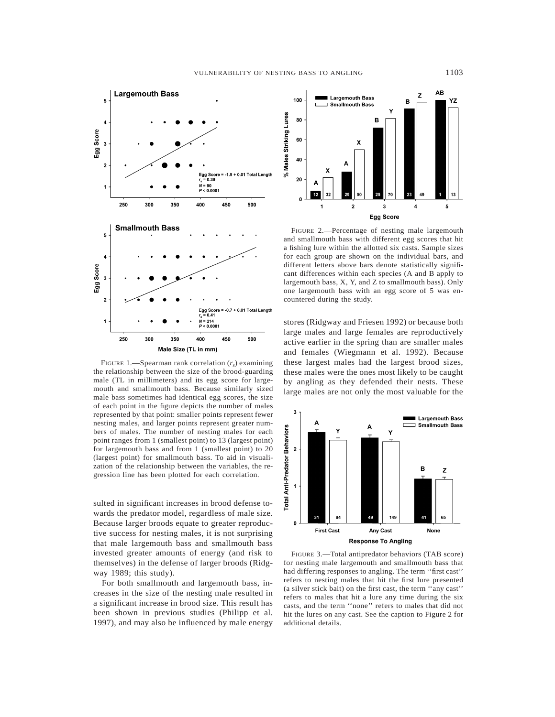

FIGURE 1.—Spearman rank correlation  $(r<sub>s</sub>)$  examining the relationship between the size of the brood-guarding male (TL in millimeters) and its egg score for largemouth and smallmouth bass. Because similarly sized male bass sometimes had identical egg scores, the size of each point in the figure depicts the number of males represented by that point: smaller points represent fewer nesting males, and larger points represent greater numbers of males. The number of nesting males for each point ranges from 1 (smallest point) to 13 (largest point) for largemouth bass and from 1 (smallest point) to 20 (largest point) for smallmouth bass. To aid in visualization of the relationship between the variables, the regression line has been plotted for each correlation.

sulted in significant increases in brood defense towards the predator model, regardless of male size. Because larger broods equate to greater reproductive success for nesting males, it is not surprising that male largemouth bass and smallmouth bass invested greater amounts of energy (and risk to themselves) in the defense of larger broods (Ridgway 1989; this study).

For both smallmouth and largemouth bass, increases in the size of the nesting male resulted in a significant increase in brood size. This result has been shown in previous studies (Philipp et al. 1997), and may also be influenced by male energy



FIGURE 2.—Percentage of nesting male largemouth and smallmouth bass with different egg scores that hit a fishing lure within the allotted six casts. Sample sizes for each group are shown on the individual bars, and different letters above bars denote statistically significant differences within each species (A and B apply to largemouth bass, X, Y, and Z to smallmouth bass). Only one largemouth bass with an egg score of 5 was encountered during the study.

stores (Ridgway and Friesen 1992) or because both large males and large females are reproductively active earlier in the spring than are smaller males and females (Wiegmann et al. 1992). Because these largest males had the largest brood sizes, these males were the ones most likely to be caught by angling as they defended their nests. These large males are not only the most valuable for the



FIGURE 3.—Total antipredator behaviors (TAB score) for nesting male largemouth and smallmouth bass that had differing responses to angling. The term ''first cast'' refers to nesting males that hit the first lure presented (a silver stick bait) on the first cast, the term ''any cast'' refers to males that hit a lure any time during the six casts, and the term ''none'' refers to males that did not hit the lures on any cast. See the caption to Figure 2 for additional details.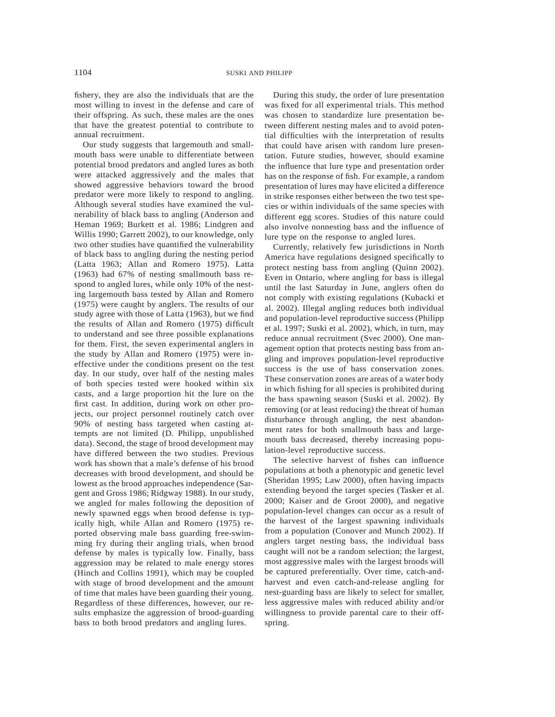fishery, they are also the individuals that are the most willing to invest in the defense and care of their offspring. As such, these males are the ones that have the greatest potential to contribute to annual recruitment.

Our study suggests that largemouth and smallmouth bass were unable to differentiate between potential brood predators and angled lures as both were attacked aggressively and the males that showed aggressive behaviors toward the brood predator were more likely to respond to angling. Although several studies have examined the vulnerability of black bass to angling (Anderson and Heman 1969; Burkett et al. 1986; Lindgren and Willis 1990; Garrett 2002), to our knowledge, only two other studies have quantified the vulnerability of black bass to angling during the nesting period (Latta 1963; Allan and Romero 1975). Latta (1963) had 67% of nesting smallmouth bass respond to angled lures, while only 10% of the nesting largemouth bass tested by Allan and Romero (1975) were caught by anglers. The results of our study agree with those of Latta (1963), but we find the results of Allan and Romero (1975) difficult to understand and see three possible explanations for them. First, the seven experimental anglers in the study by Allan and Romero (1975) were ineffective under the conditions present on the test day. In our study, over half of the nesting males of both species tested were hooked within six casts, and a large proportion hit the lure on the first cast. In addition, during work on other projects, our project personnel routinely catch over 90% of nesting bass targeted when casting attempts are not limited (D. Philipp, unpublished data). Second, the stage of brood development may have differed between the two studies. Previous work has shown that a male's defense of his brood decreases with brood development, and should be lowest as the brood approaches independence (Sargent and Gross 1986; Ridgway 1988). In our study, we angled for males following the deposition of newly spawned eggs when brood defense is typically high, while Allan and Romero (1975) reported observing male bass guarding free-swimming fry during their angling trials, when brood defense by males is typically low. Finally, bass aggression may be related to male energy stores (Hinch and Collins 1991), which may be coupled with stage of brood development and the amount of time that males have been guarding their young. Regardless of these differences, however, our results emphasize the aggression of brood-guarding bass to both brood predators and angling lures.

During this study, the order of lure presentation was fixed for all experimental trials. This method was chosen to standardize lure presentation between different nesting males and to avoid potential difficulties with the interpretation of results that could have arisen with random lure presentation. Future studies, however, should examine the influence that lure type and presentation order has on the response of fish. For example, a random presentation of lures may have elicited a difference in strike responses either between the two test species or within individuals of the same species with different egg scores. Studies of this nature could also involve nonnesting bass and the influence of lure type on the response to angled lures.

Currently, relatively few jurisdictions in North America have regulations designed specifically to protect nesting bass from angling (Quinn 2002). Even in Ontario, where angling for bass is illegal until the last Saturday in June, anglers often do not comply with existing regulations (Kubacki et al. 2002). Illegal angling reduces both individual and population-level reproductive success (Philipp et al. 1997; Suski et al. 2002), which, in turn, may reduce annual recruitment (Svec 2000). One management option that protects nesting bass from angling and improves population-level reproductive success is the use of bass conservation zones. These conservation zones are areas of a water body in which fishing for all species is prohibited during the bass spawning season (Suski et al. 2002). By removing (or at least reducing) the threat of human disturbance through angling, the nest abandonment rates for both smallmouth bass and largemouth bass decreased, thereby increasing population-level reproductive success.

The selective harvest of fishes can influence populations at both a phenotypic and genetic level (Sheridan 1995; Law 2000), often having impacts extending beyond the target species (Tasker et al. 2000; Kaiser and de Groot 2000), and negative population-level changes can occur as a result of the harvest of the largest spawning individuals from a population (Conover and Munch 2002). If anglers target nesting bass, the individual bass caught will not be a random selection; the largest, most aggressive males with the largest broods will be captured preferentially. Over time, catch-andharvest and even catch-and-release angling for nest-guarding bass are likely to select for smaller, less aggressive males with reduced ability and/or willingness to provide parental care to their offspring.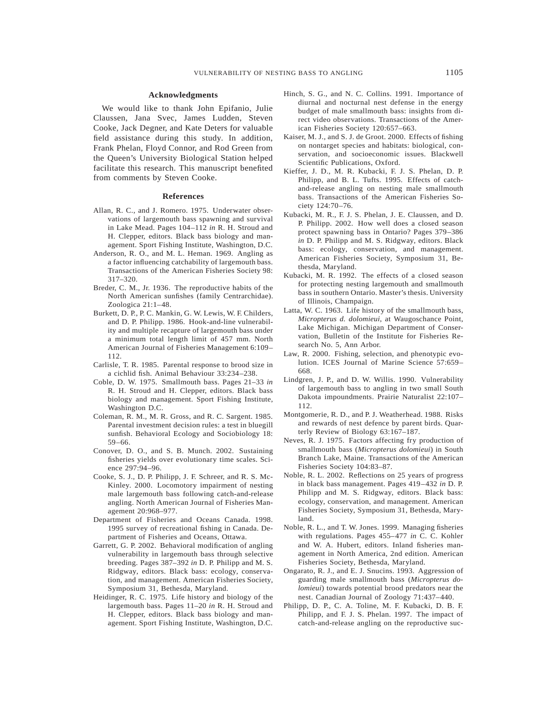# **Acknowledgments**

We would like to thank John Epifanio, Julie Claussen, Jana Svec, James Ludden, Steven Cooke, Jack Degner, and Kate Deters for valuable field assistance during this study. In addition, Frank Phelan, Floyd Connor, and Rod Green from the Queen's University Biological Station helped facilitate this research. This manuscript benefited from comments by Steven Cooke.

# **References**

- Allan, R. C., and J. Romero. 1975. Underwater observations of largemouth bass spawning and survival in Lake Mead. Pages 104–112 *in* R. H. Stroud and H. Clepper, editors. Black bass biology and management. Sport Fishing Institute, Washington, D.C.
- Anderson, R. O., and M. L. Heman. 1969. Angling as a factor influencing catchability of largemouth bass. Transactions of the American Fisheries Society 98: 317–320.
- Breder, C. M., Jr. 1936. The reproductive habits of the North American sunfishes (family Centrarchidae). Zoologica 21:1–48.
- Burkett, D. P., P. C. Mankin, G. W. Lewis, W. F. Childers, and D. P. Philipp. 1986. Hook-and-line vulnerability and multiple recapture of largemouth bass under a minimum total length limit of 457 mm. North American Journal of Fisheries Management 6:109– 112.
- Carlisle, T. R. 1985. Parental response to brood size in a cichlid fish. Animal Behaviour 33:234–238.
- Coble, D. W. 1975. Smallmouth bass. Pages 21–33 *in* R. H. Stroud and H. Clepper, editors. Black bass biology and management. Sport Fishing Institute, Washington D.C.
- Coleman, R. M., M. R. Gross, and R. C. Sargent. 1985. Parental investment decision rules: a test in bluegill sunfish. Behavioral Ecology and Sociobiology 18: 59–66.
- Conover, D. O., and S. B. Munch. 2002. Sustaining fisheries yields over evolutionary time scales. Science 297:94–96.
- Cooke, S. J., D. P. Philipp, J. F. Schreer, and R. S. Mc-Kinley. 2000. Locomotory impairment of nesting male largemouth bass following catch-and-release angling. North American Journal of Fisheries Management 20:968–977.
- Department of Fisheries and Oceans Canada. 1998. 1995 survey of recreational fishing in Canada. Department of Fisheries and Oceans, Ottawa.
- Garrett, G. P. 2002. Behavioral modification of angling vulnerability in largemouth bass through selective breeding. Pages 387–392 *in* D. P. Philipp and M. S. Ridgway, editors. Black bass: ecology, conservation, and management. American Fisheries Society, Symposium 31, Bethesda, Maryland.
- Heidinger, R. C. 1975. Life history and biology of the largemouth bass. Pages 11–20 *in* R. H. Stroud and H. Clepper, editors. Black bass biology and management. Sport Fishing Institute, Washington, D.C.
- Hinch, S. G., and N. C. Collins. 1991. Importance of diurnal and nocturnal nest defense in the energy budget of male smallmouth bass: insights from direct video observations. Transactions of the American Fisheries Society 120:657–663.
- Kaiser, M. J., and S. J. de Groot. 2000. Effects of fishing on nontarget species and habitats: biological, conservation, and socioeconomic issues. Blackwell Scientific Publications, Oxford.
- Kieffer, J. D., M. R. Kubacki, F. J. S. Phelan, D. P. Philipp, and B. L. Tufts. 1995. Effects of catchand-release angling on nesting male smallmouth bass. Transactions of the American Fisheries Society 124:70–76.
- Kubacki, M. R., F. J. S. Phelan, J. E. Claussen, and D. P. Philipp. 2002. How well does a closed season protect spawning bass in Ontario? Pages 379–386 *in* D. P. Philipp and M. S. Ridgway, editors. Black bass: ecology, conservation, and management. American Fisheries Society, Symposium 31, Bethesda, Maryland.
- Kubacki, M. R. 1992. The effects of a closed season for protecting nesting largemouth and smallmouth bass in southern Ontario. Master's thesis. University of Illinois, Champaign.
- Latta, W. C. 1963. Life history of the smallmouth bass, *Micropterus d. dolomieui*, at Waugoschance Point, Lake Michigan. Michigan Department of Conservation, Bulletin of the Institute for Fisheries Research No. 5, Ann Arbor.
- Law, R. 2000. Fishing, selection, and phenotypic evolution. ICES Journal of Marine Science 57:659– 668.
- Lindgren, J. P., and D. W. Willis. 1990. Vulnerability of largemouth bass to angling in two small South Dakota impoundments. Prairie Naturalist 22:107– 112.
- Montgomerie, R. D., and P. J. Weatherhead. 1988. Risks and rewards of nest defence by parent birds. Quarterly Review of Biology 63:167–187.
- Neves, R. J. 1975. Factors affecting fry production of smallmouth bass (*Micropterus dolomieui*) in South Branch Lake, Maine. Transactions of the American Fisheries Society 104:83–87.
- Noble, R. L. 2002. Reflections on 25 years of progress in black bass management. Pages 419–432 *in* D. P. Philipp and M. S. Ridgway, editors. Black bass: ecology, conservation, and management. American Fisheries Society, Symposium 31, Bethesda, Maryland.
- Noble, R. L., and T. W. Jones. 1999. Managing fisheries with regulations. Pages 455–477 *in* C. C. Kohler and W. A. Hubert, editors. Inland fisheries management in North America, 2nd edition. American Fisheries Society, Bethesda, Maryland.
- Ongarato, R. J., and E. J. Snucins. 1993. Aggression of guarding male smallmouth bass (*Micropterus dolomieui*) towards potential brood predators near the nest. Canadian Journal of Zoology 71:437–440.
- Philipp, D. P., C. A. Toline, M. F. Kubacki, D. B. F. Philipp, and F. J. S. Phelan. 1997. The impact of catch-and-release angling on the reproductive suc-